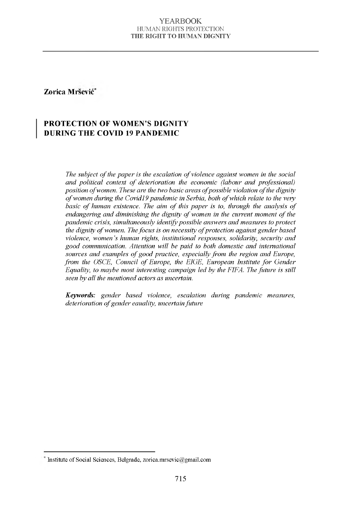### Zorica Mršević\*

## PROTECTION OF WOMEN'S DIGNITY DURING THE COVID 19 PANDEMIC

*The subject of the paper is the escalation of violence against women in the social and political context of deterioration the economic (labour and professional) position of women. These are the two basic areas of possible violation of the dignity of women during the Covid19 pandemic in Serbia, both of which relate to the very basic of human existence. The aim of this paper is to, through the analysis of endangering and diminishing the dignity of women in the current moment of the pandemic crisis, simultaneously identify possible answers and measures to protect* <sup>t</sup> the dignity of women. The focus is on necessity of protection against gender based *violence, women's human rights, institutional responses, solidarity, security and good communication. Attention will be paid to both domestic and international sources and examples of good practice, especially from the region and Europe, from the OSCE, Council of Europe, the EIGE, European Institute for Gender Equality, to maybe most interesting campaign led by the FIFA. The future is still seen by all the mentioned actors as uncertain.*

*Keywords: gender based violence, escalation during pandemic measures, deterioration of gender eauality, uncertain future*

Institute of Social Sciences, Belgrade, [zorica.mrsevic@gmail.com](mailto:zorica.mrsevic@gmail.com)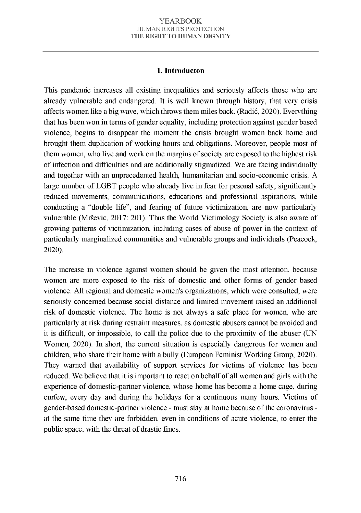### 1. Introducton

This pandemic increases all existing inequalities and seriously affects those who are already vulnerable and endangered. It is well known through history, that very crisis affects women like a big wave, which throws them miles back. (Radić, 2020). Everything that has been won in terms of gender equality, including protection against gender based violence, begins to disappear the moment the crisis brought women back home and brought them duplication of working hours and obligations. Moreover, people most of them women, who live and work on the margins of society are exposed to the highest risk of infection and difficulties and are additionally stigmatized. We are facing individually and together with an unprecedented health, humanitarian and socio-economic crisis. A large number of LGBT people who already live in fear for pesonal safety, significantly reduced movements, communications, educations and professional aspirations, while conducting a "double life", and fearing of future victimization, are now particularly vulnerable (Mršević, 2017: 201). Thus the World Victimology Society is also aware of growing patterns of victimization, including cases of abuse of power in the context of particularly marginalized communities and vulnerable groups and individuals (Peacock, 2020).

The increase in violence against women should be given the most attention, because women are more exposed to the risk of domestic and other forms of gender based violence. All regional and domestic women's organizations, which were consulted, were seriously concerned because social distance and limited movement raised an additional risk of domestic violence. The home is not always a safe place for women, who are particularly at risk during restraint measures, as domestic abusers cannot be avoided and it is difficult, or impossible, to call the police due to the proximity of the abuser (UN Women, 2020). In short, the current situation is especially dangerous for women and children, who share their home with a bully (European Feminist Working Group, 2020). They warned that availability of support services for victims of violence has been reduced. We believe that it is important to react on behalf of all women and girls with the experience of domestic-partner violence, whose home has become a home cage, during curfew, every day and during the holidays for a continuous many hours. Victims of gender-based domestic-partner violence - must stay at home because of the coronavirus at the same time they are forbidden, even in conditions of acute violence, to enter the public space, with the threat of drastic fines.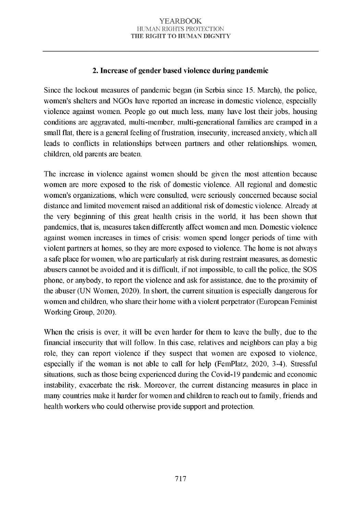# 2. Increase of gender based violence during pandemic

Since the lockout measures of pandemic began (in Serbia since 15, March), the police, women's shelters and NGOs have reported an increase in domestic violence, especially violence against women. People go out much less, many have lost their jobs, housing conditions are aggravated, multi-member, multi-generational families are cramped in a small flat, there is a general feeling of frustration, insecurity, increased anxiety, which all leads to conflicts in relationships between partners and other relationships, women, children, old parents are beaten.

The increase in violence against women should be given the most attention because women are more exposed to the risk of domestic violence. All regional and domestic women's organizations, which were consulted, were seriously concerned because social distance and limited movement raised an additional risk of domestic violence. Already at the very beginning of this great health crisis in the world, it has been shown that pandemics, that is, measures taken differently affect women and men. Domestic violence against women increases in times of crisis: women spend longer periods of time with violent partners at homes, so they are more exposed to violence. The home is not always a safe place for women, who are particularly at risk during restraint measures, as domestic abusers cannot be avoided and it is difficult, if not im possible, to call the police, the SOS phone, or anybody, to report the violence and ask for assistance, due to the proximity of the abuser (UN Women, 2020). In short, the current situation is especially dangerous for women and children, who share their home with a violent perpetrator (European Feminist Working Group, 2020).

When the crisis is over, it will be even harder for them to leave the bully, due to the financial insecurity that will follow. In this case, relatives and neighbors can play a big role, they can report violence if they suspect that women are exposed to violence, especially if the woman is not able to call for help (FemPlatz, 2020, 3-4). Stressful situations, such as those being experienced during the Covid-19 pandemic and economic instability, exacerbate the risk. Moreover, the current distancing measures in place in many countries make it harder for women and children to reach out to family, friends and health workers who could otherwise provide support and protection.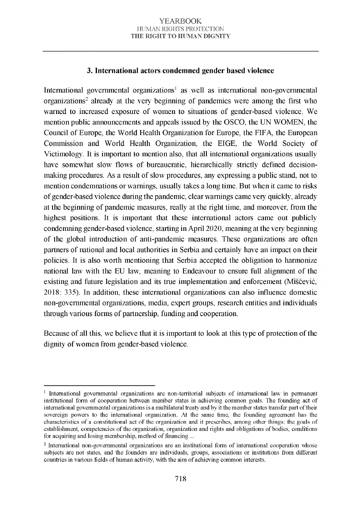## 3. International actors condemned gender based violence

International governmental organizations<sup>1</sup> as well as international non-governmental organizations<sup>2</sup> already at the very beginning of pandemics were among the first who warned to increased exposure of women to situations of gender-based violence. We mention public announcements and appeals issued by the OSCO, the UN WOMEN, the Council of Europe, the World Health Organization for Europe, the FIFA, the European Commission and World Health Organization, the EIGE, the World Society of Victimology. It is important to mention also, that all international organizations usually have somewhat slow flows of bureaucratic, hierarchically strictly defined decisionmaking procedures. As a result of slow procedures, any expressing a public stand, not to mention condemnations or warnings, usually takes a long time. But when it came to risks of gender-based violence during the pandemic, clear warnings came very quickly, already at the beginning of pandemic measures, really at the right time, and moreover, from the highest positions. It is important that these international actors came out publicly condemning gender-based violence, starting in April 2020, meaning at the very beginning of the global introduction of anti-pandemic measures. These organizations are often partners of national and local authorities in Serbia and certainly have an impact on their policies. It is also worth mentioning that Serbia accepted the obligation to harmonize national law with the EU law, meaning to Endeavour to ensure full alignment of the existing and future legislation and its true implementation and enforcement (Miščević, 2018: 335). In addition, these international organizations can also influence domestic non-governm ental organizations, media, expert groups, research entities and individuals through various forms of partnership, funding and cooperation.

Because of all this, we believe that it is important to look at this type of protection of the dignity of women from gender-based violence.

<sup>&</sup>lt;sup>1</sup> International governmental organizations are non-territorial subjects of international law in permanent institutional form of cooperation between member states in achieving common goals. The founding act of international governmental organizations is a multilateral treaty and by it the member states transfer part of their sovereign powers to the international organization. At the same time, the founding agreement has the characteristics of a constitutional act of the organization and it prescribes, among other things: the goals of establishment, competencies of the organization, organization and rights and obligations of bodies, conditions for acquiring and losing membership, method of financing ...

<sup>2</sup> International non-governmental organizations are an institutional form of international cooperation whose subjects are not states, and the founders are individuals, groups, associations or institutions from different countries in various fields of human activity, with the aim of achieving common interests.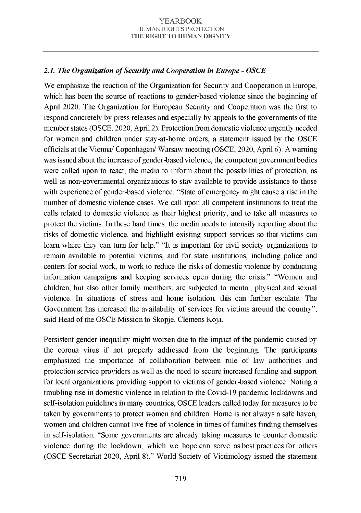# 2.1. The Organization of Security and Cooperation in Europe - OSCE

We emphasize the reaction of the Organization for Security and Cooperation in Europe, which has been the source of reactions to gender-based violence since the beginning of April 2020. The Organization for European Security and Cooperation was the first to respond concretely by press releases and especially by appeals to the governments of the member states (OSCE, 2020, April 2). Protection from domestic violence urgently needed for women and children under stay-at-home orders, a statement issued by the OSCE officials at the Vienna/ Copenhagen/ Warsaw meeting (OSCE, 2020, April 6). A warning was issued about the increase of gender-based violence, the competent government bodies were called upon to react, the media to inform about the possibilities of protection, as well as non-governmental organizations to stay available to provide assistance to those with experience of gender-based violence. "State of emergency might cause a rise in the number of domestic violence cases. We call upon all competent institutions to treat the calls related to domestic violence as their highest priority, and to take all measures to protect the victims. In these hard times, the media needs to intensify reporting about the risks of domestic violence, and highlight existing support services so that victims can learn where they can turn for help." "It is important for civil society organizations to remain available to potential victims, and for state institutions, including police and centers for social work, to work to reduce the risks of domestic violence by conducting information campaigns and keeping services open during the crisis." "Women and children, but also other family members, are subjected to mental, physical and sexual violence. In situations of stress and home isolation, this can further escalate. The Government has increased the availability of services for victims around the country". said Head of the OSCE Mission to Skopje, Clemens Koja.

Persistent gender inequality might worsen due to the impact of the pandemic caused by the corona virus if not properly addressed from the beginning. The participants emphasized the importance of collaboration between rule of law authorities and protection service providers as well as the need to secure increased funding and support for local organizations providing support to victims of gender-based violence. Noting a troubling rise in domestic violence in relation to the Covid-19 pandemic lockdowns and self-isolation guidelines in many countries, OSCE leaders called today for measures to be taken by governments to protect women and children. Home is not always a safe haven, women and children cannot live free of violence in times of families finding themselves in self-isolation. "Some governments are already taking measures to counter domestic violence during the lockdown, which we hope can serve as best practices for others (OSCE Secretariat 2020, April 8)." World Society of Victimology issued the statement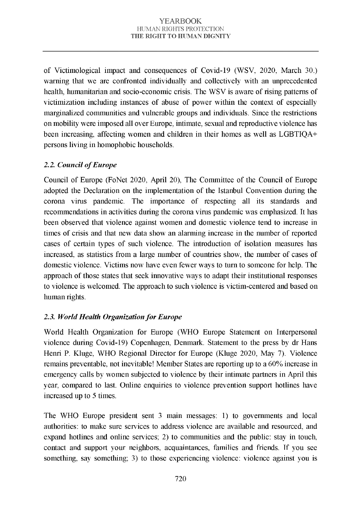of Victimological impact and consequences of Covid-19 (WSV, 2020, March 30.) warning that we are confronted individually and collectively with an unprecedented health, humanitarian and socio-economic crisis. The WSV is aware of rising patterns of victimization including instances of abuse of power within the context of especially marginalized communities and vulnerable groups and individuals. Since the restrictions on mobility were imposed all over Europe, intimate, sexual and reproductive violence has been increasing, affecting women and children in their homes as well as  $LGBTIOA+$ persons living in homophobic households.

# 2.2. Council of Europe

Council of Europe (FoNet 2020, April 20), The Committee of the Council of Europe adopted the Declaration on the implementation of the Istanbul Convention during the corona virus pandemic. The importance of respecting all its standards and recommendations in activities during the corona virus pandemic was emphasized. It has been observed that violence against women and domestic violence tend to increase in times of crisis and that new data show an alarming increase in the number of reported cases of certain types of such violence. The introduction of isolation measures has increased, as statistics from a large number of countries show, the number of cases of domestic violence. Victims now have even fewer ways to turn to someone for help. The approach of those states that seek innovative ways to adapt their institutional responses to violence is welcomed. The approach to such violence is victim -centered and based on human rights.

# 2.3. World Health Organization for Europe

World Health Organization for Europe (WHO Europe Statement on Interpersonal violence during Covid-19) Copenhagen, Denmark. Statement to the press by dr Hans Henri P. Kluge, WHO Regional Director for Europe (Kluge 2020, May 7). Violence remains preventable, not inevitable! Member States are reporting up to a 60% increase in emergency calls by women subjected to violence by their intimate partners in April this year, com pared to last. Online enquiries to violence prevention support hotlines have increased up to 5 times.

The WHO Europe president sent  $3$  main messages: 1) to governments and local authorities: to make sure services to address violence are available and resourced, and expand hotlines and online services; 2) to communities and the public: stay in touch, contact and support your neighbors, acquaintances, fam ilies and friends. If you see something, say something; 3) to those experiencing violence: violence against you is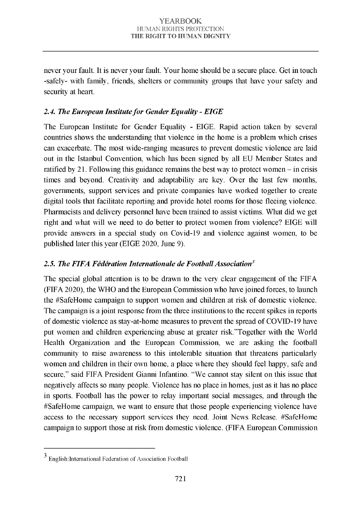never your fault. It is never your fault. Your home should be a secure place. Get in touch -safely- with family, friends, shelters or community groups that have your safety and security at heart.

# 2.4. The European Institute for Gender Equality - EIGE

The European Institute for Gender Equality - EIGE. Rapid action taken by several countries shows the understanding that violence in the home is a problem which crises can exacerbate. The most wide-ranging measures to prevent domestic violence are laid out in the Istanbul Convention, which has been signed by all EU Member States and ratified by 21. Following this guidance remains the best way to protect women  $-$  in crisis times and beyond. Creativity and adaptability are key. Over the last few months, governments, support services and private companies have worked together to create digital tools that facilitate reporting and provide hotel rooms for those fleeing violence. Pharmacists and delivery personnel have been trained to assist victims. What did we get right and what will we need to do better to protect women from violence? EIGE will provide answers in a special study on Covid-19 and violence against women, to be published later this year (EIGE 2020, June 9).

# *2.5. The FIFA Federation Internationale de Football Association3*

The special global attention is to be drawn to the very clear engagement of the FIFA (FIFA 2020), the WHO and the European Commission who have joined forces, to launch the #SafeHome campaign to support women and children at risk of domestic violence. The campaign is a joint response from the three institutions to the recent spikes in reports of domestic violence as stay-at-home measures to prevent the spread of COVID-19 have put women and children experiencing abuse at greater risk."Together with the World Health Organization and the European Commission, we are asking the football community to raise awareness to this intolerable situation that threatens particularly women and children in their own home, a place where they should feel happy, safe and secure," said FIFA President Gianni Infantino. "We cannot stay silent on this issue that negatively affects so many people. Violence has no place in homes, just as it has no place in sports. Football has the power to relay important social messages, and through the #SafeHome campaign, we want to ensure that those people experiencing violence have access to the necessary support services they need. Joint News Release. #SafeHome campaign to support those at risk from domestic violence. (FIFA European Commission

<sup>3</sup> [English:I](https://en.wikipedia.org/wiki/English_language)ntemational Federation of Association Football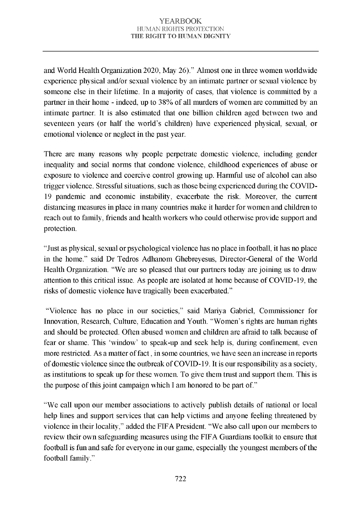and World Health Organization 2020, May 26)." Almost one in three women worldwide experience physical and/or sexual violence by an intimate partner or sexual violence by someone else in their lifetime. In a majority of cases, that violence is committed by a partner in their home - indeed, up to 38% of all murders of women are committed by an intimate partner. It is also estimated that one billion children aged between two and seventeen years (or half the world's children) have experienced physical, sexual, or emotional violence or neglect in the past year.

There are many reasons why people perpetrate domestic violence, including gender inequality and social norms that condone violence, childhood experiences of abuse or exposure to violence and coercive control growing up. Harmful use of alcohol can also trigger violence. Stressful situations, such as those being experienced during the COVID-19 pandemic and economic instability, exacerbate the risk. Moreover, the current distancing measures in place in many countries make it harder for women and children to reach out to family, friends and health workers who could otherwise provide support and protection.

"Just as physical, sexual or psychological violence has no place in football, it has no place in the home." said Dr Tedros Adhanom Ghebreyesus, Director-General of the World Health Organization. "We are so pleased that our partners today are joining us to draw attention to this critical issue. As people are isolated at home because of COVID-19, the risks of domestic violence have tragically been exacerbated."

"Violence has no place in our societies," said Mariya Gabriel, Commissioner for Innovation, Research, Culture, Education and Youth. "Women's rights are human rights and should be protected. Often abused women and children are afraid to talk because of fear or shame. This 'w indow ' to speak-up and seek help is, during confinement, even more restricted. As a matter of fact, in some countries, we have seen an increase in reports of domestic violence since the outbreak of COVID-19. It is our responsibility as a society, as institutions to speak up for these women. To give them trust and support them. This is the purpose of this joint campaign which I am honored to be part of."

"We call upon our member associations to actively publish details of national or local help lines and support services that can help victims and anyone feeling threatened by violence in their locality," added the FIFA President. "We also call upon our members to review their own safeguarding measures using the FIFA Guardians toolkit to ensure that football is fun and safe for everyone in our game, especially the youngest members of the football family."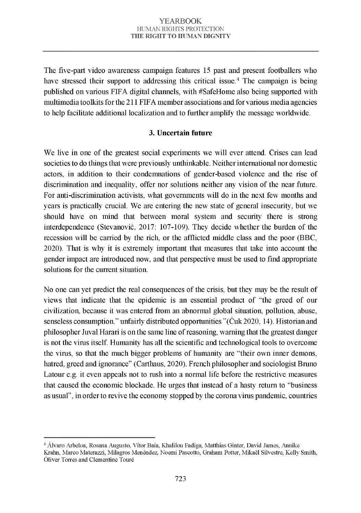The five-part video awareness campaign features 15 past and present footballers who have stressed their support to addressing this critical issue.<sup>4</sup> The campaign is being published on various FIFA digital channels, with #SafeHome also being supported with multimedia toolkits for the  $211$  FIFA member associations and for various media agencies to help facilitate additional localization and to further amplify the message worldwide.

# 3. Uncertain future

We live in one of the greatest social experiments we will ever attend. Crises can lead societies to do things that were previously unthinkable. Neither international nor domestic actors, in addition to their condemnations of gender-based violence and the rise of discrimination and inequality, offer nor solutions neither any vision of the near future. For anti-discrimination activists, what governments will do in the next few months and years is practically crucial. We are entering the new state of general insecurity, but we should have on mind that between moral system and security there is strong interdependence (Stevanovic,  $2017$ :  $107-109$ ). They decide whether the burden of the recession will be carried by the rich, or the afflicted middle class and the poor (BBC, 2020). That is why it is extremely important that measures that take into account the gender impact are introduced now, and that perspective must be used to find appropriate solutions for the current situation.

No one can vet predict the real consequences of the crisis, but they may be the result of views that indicate that the epidemic is an essential product of "the greed of our civilization, because it was entered from an abnormal global situation, pollution, abuse, senseless consumption." unfairly distributed opportunities " $(\text{Cuk } 2020, 14)$ . Historian and philosopher Juval Harari is on the same line of reasoning, warning that the greatest danger is not the virus itself. Humanity has all the scientific and technological tools to overcome the virus, so that the much bigger problems of humanity are "their own inner demons, hatred, greed and ignorance" (Carthaus, 2020). French philosopher and sociologist Bruno Latour e.g. it even appeals not to rush into a normal life before the restrictive measures that caused the economic blockade. He urges that instead of a hasty return to "business" as usual", in order to revive the economy stopped by the corona virus pandemic, countries

<sup>4</sup> Alvaro Arbeloa, Rosana Augusto, Vítor Baía, Khalilou Fadiga, Matthias Ginter, David James, Annike Krahn, Marco Materazzi, Milagros Menéndez, Noemi Pascotto, Graham Potter, Mikaël Silvestre, Kelly Smith, Oliver Torres and Clementine Touré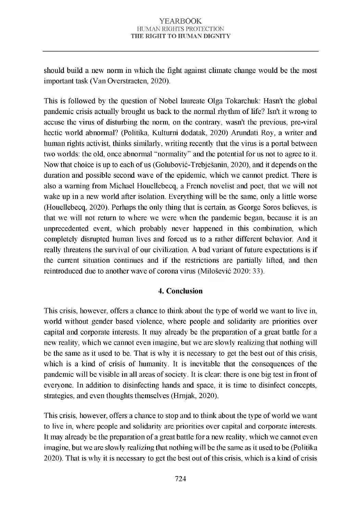should build a new norm in which the fight against climate change would be the most important task (Van Overstraeten, 2020).

This is followed by the question of Nobel laureate Olga Tokarchuk: Hasn't the global pandemic crisis actually brought us back to the normal rhythm of life? Isn't it wrong to accuse the virus of disturbing the norm, on the contrary, wasn't the previous, pre-viral hectic world abnormal? (Politika, Kulturni dodatak, 2020) Arundati Roy, a writer and human rights activist, thinks similarly, writing recently that the virus is a portal between two worlds: the old, once abnormal "normality" and the potential for us not to agree to it. Now that choice is up to each of us (Golubović-Trebješanin, 2020), and it depends on the duration and possible second wave of the epidemic, which we cannot predict. There is also a warning from Michael Houellebecq, a French novelist and poet, that we will not wake up in a new world after isolation. Everything will be the same, only a little worse (Houellebecq, 2020). Perhaps the only thing that is certain, as George Soros believes, is that we will not return to where we were when the pandemic began, because it is an unprecedented event, which probably never happened in this combination, which completely disrupted human lives and forced us to a rather different behavior. And it really threatens the survival of our civilization. A bad variant of future expectations is if the current situation continues and if the restrictions are partially lifted, and then reintroduced due to another wave of corona virus (Milošević 2020: 33).

### 4. Conclusion

This crisis, however, offers a chance to think about the type of world we want to live in, world without gender based violence, where people and solidarity are priorities over capital and corporate interests. It may already be the preparation of a great battle for a new reality, which we cannot even imagine, but we are slowly realizing that nothing will be the same as it used to be. That is why it is necessary to get the best out of this crisis, which is a kind of crisis of humanity. It is inevitable that the consequences of the pandemic will be visible in all areas of society. It is clear: there is one big test in front of everyone. In addition to disinfecting hands and space, it is time to disinfect concepts, strategies, and even thoughts themselves (Hrnjak, 2020).

This crisis, however, offers a chance to stop and to think about the type of world we want to live in, where people and solidarity are priorities over capital and corporate interests. It may already be the preparation of a great battle for a new reality, which we cannot even imagine, but we are slowly realizing that nothing will be the same as it used to be (Politika 2020). That is why it is necessary to get the best out of this crisis, which is a kind of crisis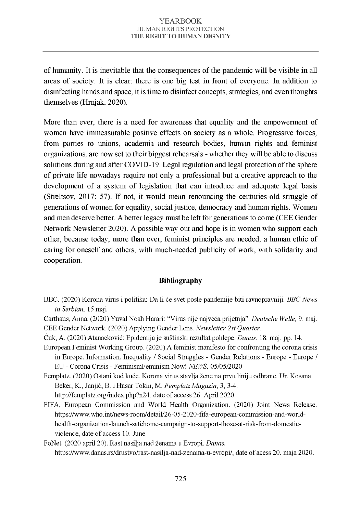of humanity. It is inevitable that the consequences of the pandemic will be visible in all areas of society. It is clear: there is one big test in front of everyone. In addition to disinfecting hands and space, it is time to disinfect concepts, strategies, and even thoughts themselves (Hrniak, 2020).

More than ever, there is a need for awareness that equality and the empowerment of women have immeasurable positive effects on society as a whole. Progressive forces, from parties to unions, academia and research bodies, human rights and feminist organizations, are now set to their biggest rehearsals - w hether they w ill be able to discuss solutions during and after COVID-19. Legal regulation and legal protection of the sphere of private life nowadays require not only a professional but a creative approach to the development of a system of legislation that can introduce and adequate legal basis (Streltsov,  $2017: 57$ ). If not, it would mean renouncing the centuries-old struggle of generations of women for equality, social justice, democracy and human rights. Women and men deserve better. A better legacy must be left for generations to come (CEE Gender Network Newsletter 2020). A possible way out and hope is in women who support each other, because today, more than ever, feminist principles are needed, a human ethic of caring for oneself and others, with much-needed publicity of work, with solidarity and cooperation.

### Bibliography

- BBC. (2020) Korona virus i politika: Da li će svet posle pandemije biti ravnopravniji. *BBC News in Serbian*, 15 maj.
- Carthaus, Anna. (2020) Yuval Noah Harari: "Virus nije najveća prijetnja". [Deutsche Welle,](https://www.dw.com/en/top-stories/news/s-30701) 9. maj. CEE Gender Network. (2020) Applying Gender Lens. *Newsletter 2st Quarter*.
- Ć u k , A . (2 0 2 0 ) A tan ack o v ić: E p id e m ija j e su štin sk i re z u lta t po h lep e. *Danas.* 18. m aj. pp. 14.
- European Feminist Working Group. (2020) A feminist manifesto for confronting the corona crisis in Europe. Information. Inequality / Social Struggles - Gender Relations - Europe - Europe / EU - Corona Crisis - Feminism Feminism Now! *NEWS*, 05/05/2020

Femplatz. (2020) Ostani kod kuće. Korona virus stavlja žene na prvu liniju odbrane. Ur. Kosana Beker, K., Janjić, B. i Husar Tokin, M. *Femplatz Magazin*, 3, 3-4. http://femplatz.org/index.php?n24. date of access 26. April 2020.

FIFA, European Commission and World Health Organization. (2020) Joint News Release. https://www.who.int/news-room/detail/26-05-2020-fifa-european-commission-and-worldhealth-organization-launch-safehome-campaign-to-support-those-at-risk-from-domesticviolence, date of access 10. June

FoNet. (2020 april 20). Rast nasilja nad ženama u Evropi. *Danas*. https://www.danas.rs/drustvo/rast-nasilja-nad-zenama-u-evropi/, date of acess 20. maja 2020.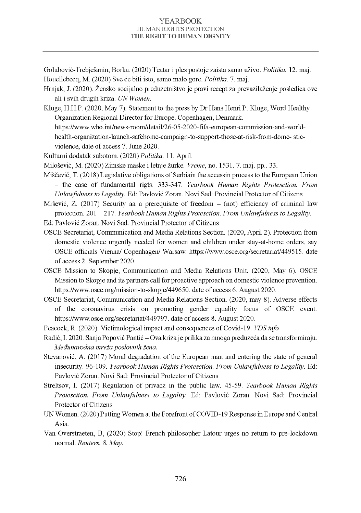Golubović-Trebiešanin, Borka. (2020) Teatar i ples postoje zaista samo uživo. Politika. 12. maj. Houellebeca, M. (2020) Sve će biti isto, samo malo gore. *Politika*, 7. maj.

Hrniak. J. (2020). Žensko socijalno preduzetništvo je pravi recept za prevazilaženje posledica ove ali i svih drugih kriza. *UN Women.* 

K luge, H.H.P. (2020, May 7). Statement to the press by Dr Hans Henri P. Kluge, Word Healthy Organization Regional Director for Europe. Copenhagen, Denmark. https://www.who.int/news-room/detail/26-05-2020-fifa-european-commission-and-worldhealth-organization-launch-safehome-campaign-to-support-those-at-risk-from-dome-stic-

violence, date of access 7. June 2020.

Kulturni dodatak subotom. (2020) Politika. 11. April.

Milošević, M. (2020) Zimske maske i letnje žurke. *Vreme*, no. 1531. 7. maj. pp.. 33.

Miščević, T. (2018) Legislative obligations of Serbiain the accessin process to the European Union - the case of fundamental rigts. 333-347. *Yearbook Human Rights Protesction. From Unlawfulness to Legality.* Ed: Paylović Zoran. Novi Sad: Provincial Protector of Citizens

Mršević, Z. (2017) Security aa a prerequisite of freedom  $-$  (not) efficiency of criminal law protection. 201 - 217. *Yearbook Human Rights Protesction. From Unlawfulness to Legality.* 

Ed: Pavlović Zoran, Novi Sad: Provincial Protector of Citizens

OSCE Secretariat, Communication and Media Relations Section. (2020, April 2). Protection from domestic violence urgently needed for women and children under stay-at-home orders, say OSCE officials Vienna/ Copenhagen/ Warsaw. https://www.osce.org/secretariat/449515. date of access 2. September 2020.

- OSCE Mission to Skopje, Communication and Media Relations Unit. (2020, May 6). OSCE Mission to Skopje and its partners call for proactive approach on domestic violence prevention. https://www.osce.org/mission-to-skopie/449650, date of access 6. August 2020.
- OSCE Secretariat, Communication and Media Relations Section. (2020, may 8). Adverse effects of the coronavirus crisis on promoting gender equality focus of OSCE event. https://www.osce.org/secretariat/449797. date of access 8. August 2020.

Peacock, R. (2020). Victimological impact and consequences of Covid-19. *VDS info* 

Radić, I. 2020. Sanja Popović Pantić – Ova kriza je prilika za mnoga preduzeća da se transformiraju. *Međunarodna mreža poslovnih žena.*

- Stevanović, A. (2017) Moral degradation of the European man and entering the state of general in security. 96-109. *Yearbook Human Rights Protesction. From Unlawfulness to Legality.* Ed: Pavlović Zoran. Novi Sad: Provincial Protector of Citizens
- Streltsov, I. (2017) Regulation of privacz in the public law. 45-59. *Yearbook Human Rights Protesction. From Unlawfulness to Legality.* Ed: Pavlović Zoran. Novi Sad: Provincial Protector of Citizens
- UN Women. (2020) Putting Women at the Forefront of COVID-19 Response in Europe and Central A sia.
- Van Overstraeten, B, (2020) Stop! French philosopher Latour urges no return to pre-lockdown normal. *Reuters. 8. May.*